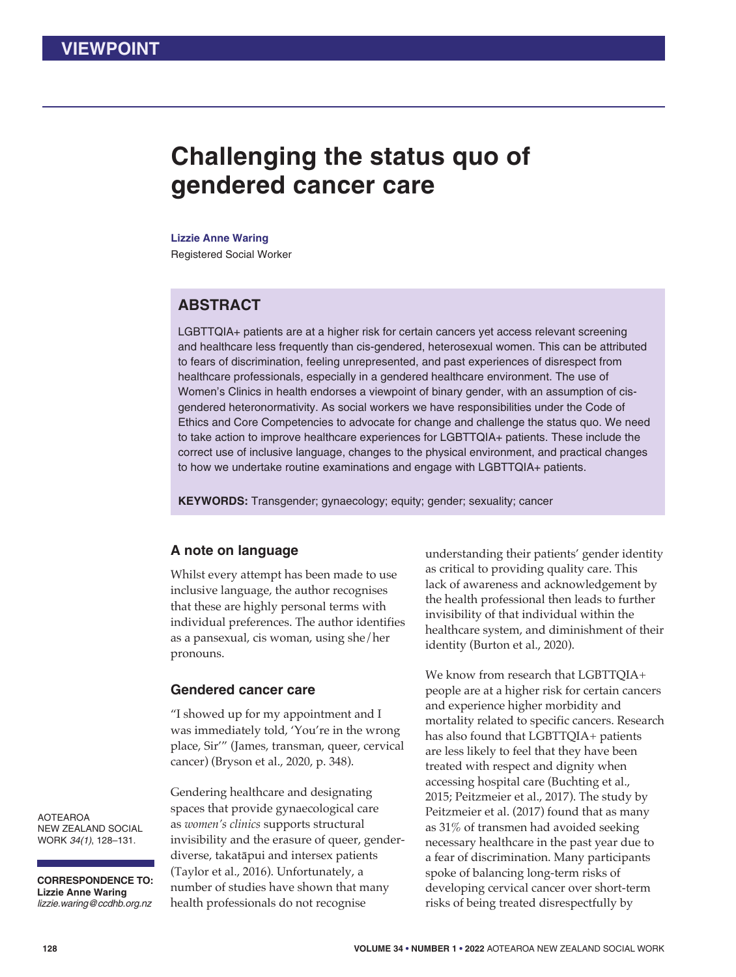# **Challenging the status quo of gendered cancer care**

#### **Lizzie Anne Waring**

Registered Social Worker

# **ABSTRACT**

LGBTTQIA+ patients are at a higher risk for certain cancers yet access relevant screening and healthcare less frequently than cis-gendered, heterosexual women. This can be attributed to fears of discrimination, feeling unrepresented, and past experiences of disrespect from healthcare professionals, especially in a gendered healthcare environment. The use of Women's Clinics in health endorses a viewpoint of binary gender, with an assumption of cisgendered heteronormativity. As social workers we have responsibilities under the Code of Ethics and Core Competencies to advocate for change and challenge the status quo. We need to take action to improve healthcare experiences for LGBTTQIA+ patients. These include the correct use of inclusive language, changes to the physical environment, and practical changes to how we undertake routine examinations and engage with LGBTTQIA+ patients.

**KEYWORDS:** Transgender; gynaecology; equity; gender; sexuality; cancer

## **A note on language**

Whilst every attempt has been made to use inclusive language, the author recognises that these are highly personal terms with individual preferences. The author identifies as a pansexual, cis woman, using she/her pronouns.

#### **Gendered cancer care**

"I showed up for my appointment and I was immediately told, 'You're in the wrong place, Sir'" (James, transman, queer, cervical cancer) (Bryson et al., 2020, p. 348).

Gendering healthcare and designating spaces that provide gynaecological care as *women's clinics* supports structural invisibility and the erasure of queer, genderdiverse, takatāpui and intersex patients (Taylor et al., 2016). Unfortunately, a number of studies have shown that many health professionals do not recognise

understanding their patients' gender identity as critical to providing quality care. This lack of awareness and acknowledgement by the health professional then leads to further invisibility of that individual within the healthcare system, and diminishment of their identity (Burton et al., 2020).

We know from research that LGBTTQIA+ people are at a higher risk for certain cancers and experience higher morbidity and mortality related to specific cancers. Research has also found that LGBTTQIA+ patients are less likely to feel that they have been treated with respect and dignity when accessing hospital care (Buchting et al., 2015; Peitzmeier et al., 2017). The study by Peitzmeier et al. (2017) found that as many as 31% of transmen had avoided seeking necessary healthcare in the past year due to a fear of discrimination. Many participants spoke of balancing long-term risks of developing cervical cancer over short-term risks of being treated disrespectfully by

AOTEAROA NEW ZEALAND SOCIAL WORK *34(1)*, 128–131.

**CORRESPONDENCE TO: Lizzie Anne Waring** *lizzie.waring@ccdhb.org.nz*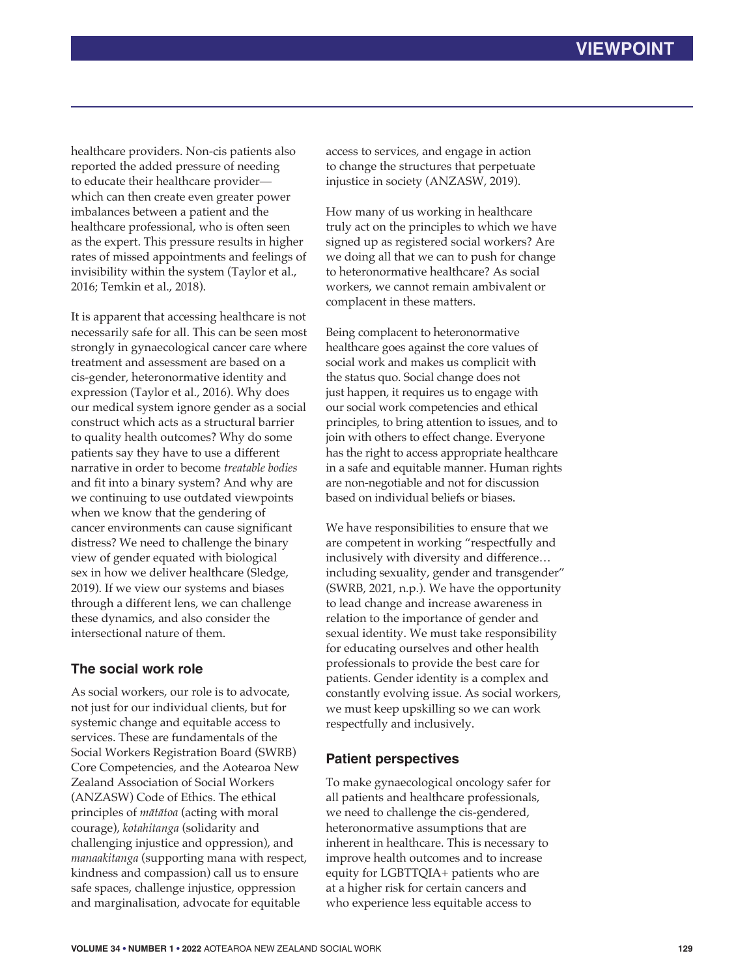healthcare providers. Non-cis patients also reported the added pressure of needing to educate their healthcare provider which can then create even greater power imbalances between a patient and the healthcare professional, who is often seen as the expert. This pressure results in higher rates of missed appointments and feelings of invisibility within the system (Taylor et al., 2016; Temkin et al., 2018).

It is apparent that accessing healthcare is not necessarily safe for all. This can be seen most strongly in gynaecological cancer care where treatment and assessment are based on a cis-gender, heteronormative identity and expression (Taylor et al., 2016). Why does our medical system ignore gender as a social construct which acts as a structural barrier to quality health outcomes? Why do some patients say they have to use a different narrative in order to become *treatable bodies* and fit into a binary system? And why are we continuing to use outdated viewpoints when we know that the gendering of cancer environments can cause significant distress? We need to challenge the binary view of gender equated with biological sex in how we deliver healthcare (Sledge, 2019). If we view our systems and biases through a different lens, we can challenge these dynamics, and also consider the intersectional nature of them.

## **The social work role**

As social workers, our role is to advocate, not just for our individual clients, but for systemic change and equitable access to services. These are fundamentals of the Social Workers Registration Board (SWRB) Core Competencies, and the Aotearoa New Zealand Association of Social Workers (ANZASW) Code of Ethics. The ethical principles of *mātātoa* (acting with moral courage), *kotahitanga* (solidarity and challenging injustice and oppression), and *manaakitanga* (supporting mana with respect, kindness and compassion) call us to ensure safe spaces, challenge injustice, oppression and marginalisation, advocate for equitable

access to services, and engage in action to change the structures that perpetuate injustice in society (ANZASW, 2019).

How many of us working in healthcare truly act on the principles to which we have signed up as registered social workers? Are we doing all that we can to push for change to heteronormative healthcare? As social workers, we cannot remain ambivalent or complacent in these matters.

Being complacent to heteronormative healthcare goes against the core values of social work and makes us complicit with the status quo. Social change does not just happen, it requires us to engage with our social work competencies and ethical principles, to bring attention to issues, and to join with others to effect change. Everyone has the right to access appropriate healthcare in a safe and equitable manner. Human rights are non-negotiable and not for discussion based on individual beliefs or biases.

We have responsibilities to ensure that we are competent in working "respectfully and inclusively with diversity and difference… including sexuality, gender and transgender" (SWRB, 2021, n.p.). We have the opportunity to lead change and increase awareness in relation to the importance of gender and sexual identity. We must take responsibility for educating ourselves and other health professionals to provide the best care for patients. Gender identity is a complex and constantly evolving issue. As social workers, we must keep upskilling so we can work respectfully and inclusively.

## **Patient perspectives**

To make gynaecological oncology safer for all patients and healthcare professionals, we need to challenge the cis-gendered, heteronormative assumptions that are inherent in healthcare. This is necessary to improve health outcomes and to increase equity for LGBTTQIA+ patients who are at a higher risk for certain cancers and who experience less equitable access to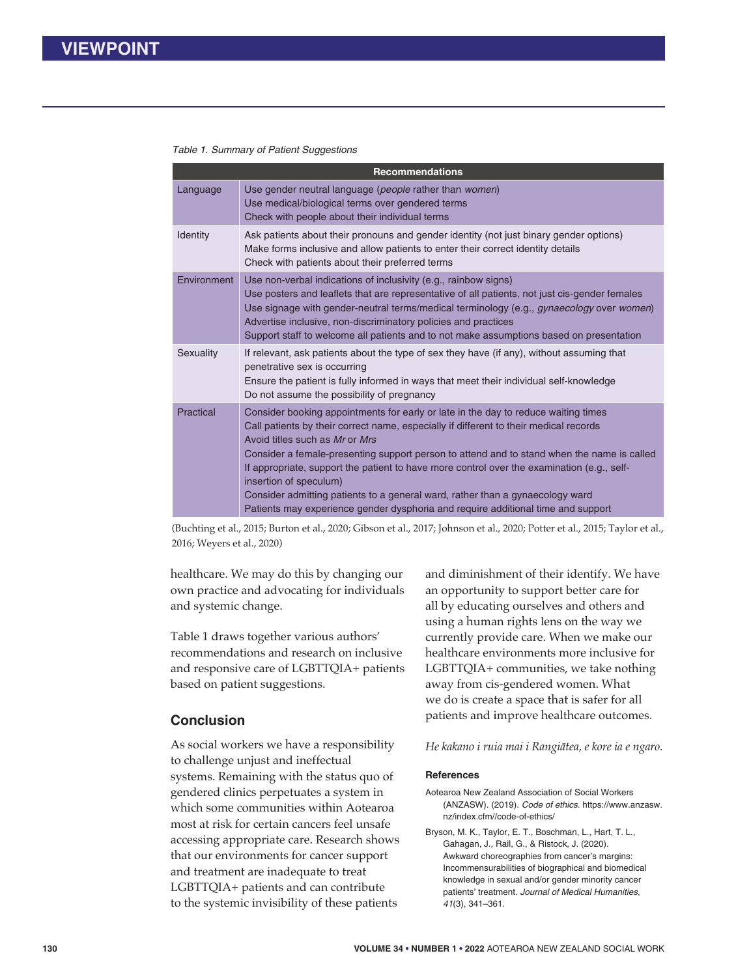#### *Table 1. Summary of Patient Suggestions*

| <b>Recommendations</b> |                                                                                                                                                                                                                                                                                                                                                                                                                                                                                                                                                                                                          |
|------------------------|----------------------------------------------------------------------------------------------------------------------------------------------------------------------------------------------------------------------------------------------------------------------------------------------------------------------------------------------------------------------------------------------------------------------------------------------------------------------------------------------------------------------------------------------------------------------------------------------------------|
| Language               | Use gender neutral language (people rather than women)<br>Use medical/biological terms over gendered terms<br>Check with people about their individual terms                                                                                                                                                                                                                                                                                                                                                                                                                                             |
| Identity               | Ask patients about their pronouns and gender identity (not just binary gender options)<br>Make forms inclusive and allow patients to enter their correct identity details<br>Check with patients about their preferred terms                                                                                                                                                                                                                                                                                                                                                                             |
| Environment            | Use non-verbal indications of inclusivity (e.g., rainbow signs)<br>Use posters and leaflets that are representative of all patients, not just cis-gender females<br>Use signage with gender-neutral terms/medical terminology (e.g., gynaecology over women)<br>Advertise inclusive, non-discriminatory policies and practices<br>Support staff to welcome all patients and to not make assumptions based on presentation                                                                                                                                                                                |
| Sexuality              | If relevant, ask patients about the type of sex they have (if any), without assuming that<br>penetrative sex is occurring<br>Ensure the patient is fully informed in ways that meet their individual self-knowledge<br>Do not assume the possibility of pregnancy                                                                                                                                                                                                                                                                                                                                        |
| Practical              | Consider booking appointments for early or late in the day to reduce waiting times<br>Call patients by their correct name, especially if different to their medical records<br>Avoid titles such as Mr or Mrs<br>Consider a female-presenting support person to attend and to stand when the name is called<br>If appropriate, support the patient to have more control over the examination (e.g., self-<br>insertion of speculum)<br>Consider admitting patients to a general ward, rather than a gynaecology ward<br>Patients may experience gender dysphoria and require additional time and support |

(Buchting et al., 2015; Burton et al., 2020; Gibson et al., 2017; Johnson et al., 2020; Potter et al., 2015; Taylor et al., 2016; Weyers et al., 2020)

healthcare. We may do this by changing our own practice and advocating for individuals and systemic change.

Table 1 draws together various authors' recommendations and research on inclusive and responsive care of LGBTTQIA+ patients based on patient suggestions.

## **Conclusion**

As social workers we have a responsibility to challenge unjust and ineffectual systems. Remaining with the status quo of gendered clinics perpetuates a system in which some communities within Aotearoa most at risk for certain cancers feel unsafe accessing appropriate care. Research shows that our environments for cancer support and treatment are inadequate to treat LGBTTQIA+ patients and can contribute to the systemic invisibility of these patients

and diminishment of their identify. We have an opportunity to support better care for all by educating ourselves and others and using a human rights lens on the way we currently provide care. When we make our healthcare environments more inclusive for LGBTTQIA+ communities, we take nothing away from cis-gendered women. What we do is create a space that is safer for all patients and improve healthcare outcomes.

*He kakano i ruia mai i Rangiātea, e kore ia e ngaro.*

#### **References**

Aotearoa New Zealand Association of Social Workers (ANZASW). (2019). *Code of ethics.* https://www.anzasw. nz/index.cfm//code-of-ethics/

Bryson, M. K., Taylor, E. T., Boschman, L., Hart, T. L., Gahagan, J., Rail, G., & Ristock, J. (2020). Awkward choreographies from cancer's margins: Incommensurabilities of biographical and biomedical knowledge in sexual and/or gender minority cancer patients' treatment. *Journal of Medical Humanities*, *41*(3), 341–361.